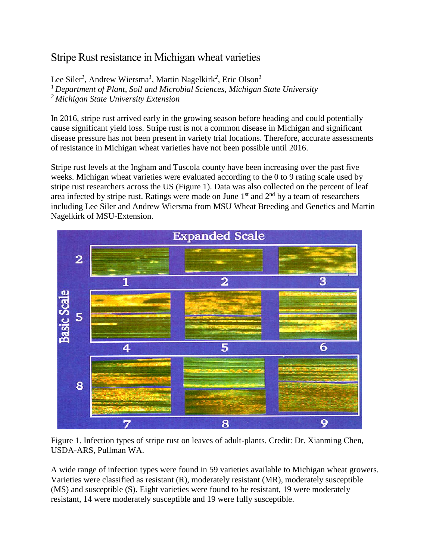## Stripe Rust resistance in Michigan wheat varieties

Lee Siler*<sup>1</sup>* , Andrew Wiersma*<sup>1</sup>* , Martin Nagelkirk*<sup>2</sup>* , Eric Olson*<sup>1</sup>* <sup>1</sup>*Department of Plant, Soil and Microbial Sciences, Michigan State University <sup>2</sup>Michigan State University Extension*

In 2016, stripe rust arrived early in the growing season before heading and could potentially cause significant yield loss. Stripe rust is not a common disease in Michigan and significant disease pressure has not been present in variety trial locations. Therefore, accurate assessments of resistance in Michigan wheat varieties have not been possible until 2016.

Stripe rust levels at the Ingham and Tuscola county have been increasing over the past five weeks. Michigan wheat varieties were evaluated according to the 0 to 9 rating scale used by stripe rust researchers across the US (Figure 1). Data was also collected on the percent of leaf area infected by stripe rust. Ratings were made on June  $1<sup>st</sup>$  and  $2<sup>nd</sup>$  by a team of researchers including Lee Siler and Andrew Wiersma from MSU Wheat Breeding and Genetics and Martin Nagelkirk of MSU-Extension.



Figure 1. Infection types of stripe rust on leaves of adult-plants. Credit: Dr. Xianming Chen, USDA-ARS, Pullman WA.

A wide range of infection types were found in 59 varieties available to Michigan wheat growers. Varieties were classified as resistant (R), moderately resistant (MR), moderately susceptible (MS) and susceptible (S). Eight varieties were found to be resistant, 19 were moderately resistant, 14 were moderately susceptible and 19 were fully susceptible.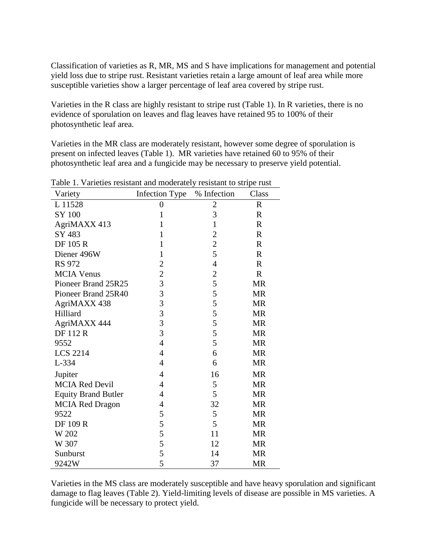Classification of varieties as R, MR, MS and S have implications for management and potential yield loss due to stripe rust. Resistant varieties retain a large amount of leaf area while more susceptible varieties show a larger percentage of leaf area covered by stripe rust.

Varieties in the R class are highly resistant to stripe rust (Table 1). In R varieties, there is no evidence of sporulation on leaves and flag leaves have retained 95 to 100% of their photosynthetic leaf area.

Varieties in the MR class are moderately resistant, however some degree of sporulation is present on infected leaves (Table 1). MR varieties have retained 60 to 95% of their photosynthetic leaf area and a fungicide may be necessary to preserve yield potential.

| Variety                    | Infection Type | % Infection    | Class        |
|----------------------------|----------------|----------------|--------------|
| L 11528                    | 0              | $\overline{c}$ | $\mathbf R$  |
| SY 100                     | $\mathbf{1}$   | 3              | $\mathbb{R}$ |
| AgriMAXX 413               | $\mathbf{1}$   | $\mathbf{1}$   | $\mathbf R$  |
| SY 483                     | $\mathbf{1}$   | $\overline{c}$ | $\mathbb{R}$ |
| DF 105 R                   | $\mathbf{1}$   | $\overline{c}$ | $\mathbf R$  |
| Diener 496W                | $\mathbf{1}$   | 5              | $\mathbf R$  |
| RS 972                     | $\overline{2}$ | $\overline{4}$ | $\mathbf R$  |
| <b>MCIA Venus</b>          | $\overline{c}$ | $\overline{c}$ | $\mathbf R$  |
| Pioneer Brand 25R25        | 3              | 5              | <b>MR</b>    |
| Pioneer Brand 25R40        | 3              | 5              | <b>MR</b>    |
| AgriMAXX 438               | 3              | 5              | <b>MR</b>    |
| Hilliard                   | 3              | 5              | <b>MR</b>    |
| AgriMAXX 444               | $\overline{3}$ | 5              | <b>MR</b>    |
| <b>DF112R</b>              | 3              | 5              | <b>MR</b>    |
| 9552                       | $\overline{4}$ | 5              | <b>MR</b>    |
| <b>LCS 2214</b>            | $\overline{4}$ | 6              | <b>MR</b>    |
| L-334                      | $\overline{4}$ | 6              | <b>MR</b>    |
| Jupiter                    | $\overline{4}$ | 16             | <b>MR</b>    |
| <b>MCIA Red Devil</b>      | 4              | 5              | <b>MR</b>    |
| <b>Equity Brand Butler</b> | 4              | 5              | <b>MR</b>    |
| <b>MCIA Red Dragon</b>     | 4              | 32             | <b>MR</b>    |
| 9522                       | 5              | 5              | <b>MR</b>    |
| <b>DF 109 R</b>            | 5              | 5              | <b>MR</b>    |
| W 202                      | 5              | 11             | <b>MR</b>    |
| W 307                      | 5              | 12             | <b>MR</b>    |
| Sunburst                   | 5              | 14             | <b>MR</b>    |
| 9242W                      | 5              | 37             | <b>MR</b>    |

Table 1. Varieties resistant and moderately resistant to stripe rust

Varieties in the MS class are moderately susceptible and have heavy sporulation and significant damage to flag leaves (Table 2). Yield-limiting levels of disease are possible in MS varieties. A fungicide will be necessary to protect yield.